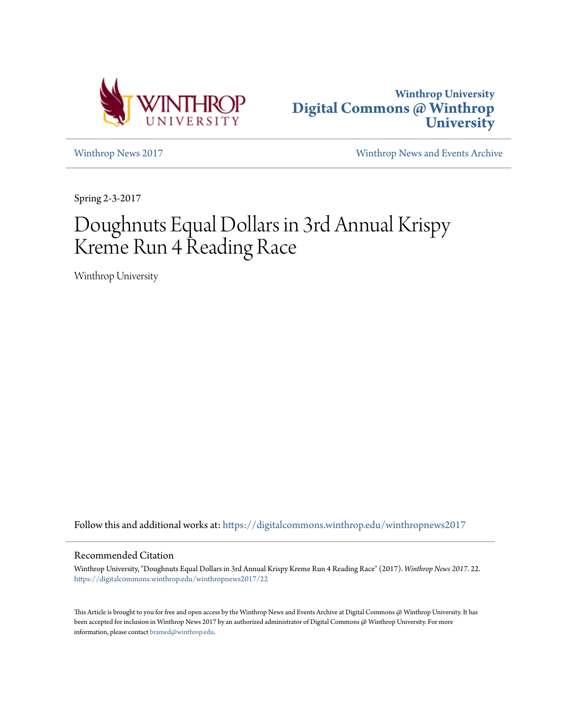



[Winthrop News 2017](https://digitalcommons.winthrop.edu/winthropnews2017?utm_source=digitalcommons.winthrop.edu%2Fwinthropnews2017%2F22&utm_medium=PDF&utm_campaign=PDFCoverPages) [Winthrop News and Events Archive](https://digitalcommons.winthrop.edu/winthropnewsarchives?utm_source=digitalcommons.winthrop.edu%2Fwinthropnews2017%2F22&utm_medium=PDF&utm_campaign=PDFCoverPages)

Spring 2-3-2017

# Doughnuts Equal Dollars in 3rd Annual Krispy Kreme Run 4 Reading Race

Winthrop University

Follow this and additional works at: [https://digitalcommons.winthrop.edu/winthropnews2017](https://digitalcommons.winthrop.edu/winthropnews2017?utm_source=digitalcommons.winthrop.edu%2Fwinthropnews2017%2F22&utm_medium=PDF&utm_campaign=PDFCoverPages)

### Recommended Citation

Winthrop University, "Doughnuts Equal Dollars in 3rd Annual Krispy Kreme Run 4 Reading Race" (2017). *Winthrop News 2017*. 22. [https://digitalcommons.winthrop.edu/winthropnews2017/22](https://digitalcommons.winthrop.edu/winthropnews2017/22?utm_source=digitalcommons.winthrop.edu%2Fwinthropnews2017%2F22&utm_medium=PDF&utm_campaign=PDFCoverPages)

This Article is brought to you for free and open access by the Winthrop News and Events Archive at Digital Commons @ Winthrop University. It has been accepted for inclusion in Winthrop News 2017 by an authorized administrator of Digital Commons @ Winthrop University. For more information, please contact [bramed@winthrop.edu](mailto:bramed@winthrop.edu).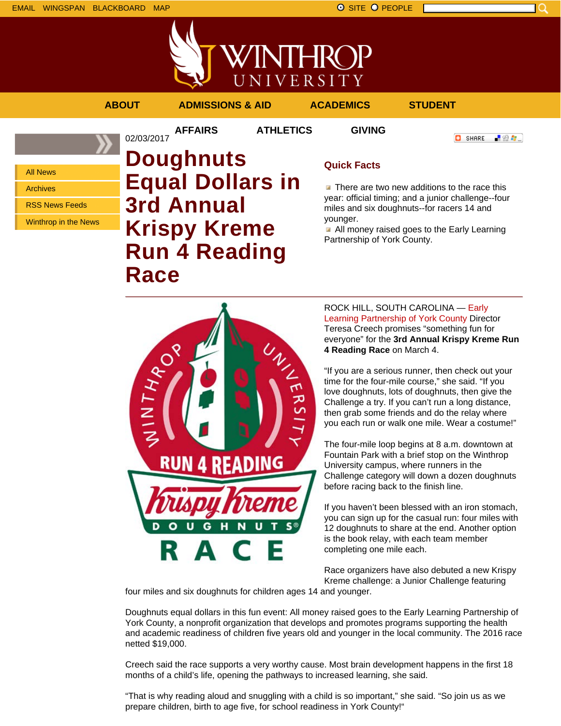EMAIL WINGSPAN BLACKBOARD MAP SITE PEOPLE SAND A SITE PEOPLE



**AFFAIRS ATHLETICS GIVING**

02/03/2017

**ABOUT ADMISSIONS & AID ACADEMICS STUDENT**

**O** SHARE

「验費」

All News

Archives

RSS News Feeds

Winthrop in the News

## **Doughnuts Equal Dollars in 3rd Annual Krispy Kreme Run 4 Reading Race**

### **Quick Facts**

 $\blacksquare$  There are two new additions to the race this year: official timing; and a junior challenge--four miles and six doughnuts--for racers 14 and younger.

All money raised goes to the Early Learning Partnership of York County.

**READING** RUN 4

ROCK HILL, SOUTH CAROLINA — Early Learning Partnership of York County Director Teresa Creech promises "something fun for everyone" for the **3rd Annual Krispy Kreme Run 4 Reading Race** on March 4.

"If you are a serious runner, then check out your time for the four-mile course," she said. "If you love doughnuts, lots of doughnuts, then give the Challenge a try. If you can't run a long distance, then grab some friends and do the relay where you each run or walk one mile. Wear a costume!"

The four-mile loop begins at 8 a.m. downtown at Fountain Park with a brief stop on the Winthrop University campus, where runners in the Challenge category will down a dozen doughnuts before racing back to the finish line.

If you haven't been blessed with an iron stomach, you can sign up for the casual run: four miles with 12 doughnuts to share at the end. Another option is the book relay, with each team member completing one mile each.

Race organizers have also debuted a new Krispy Kreme challenge: a Junior Challenge featuring

four miles and six doughnuts for children ages 14 and younger.

Doughnuts equal dollars in this fun event: All money raised goes to the Early Learning Partnership of York County, a nonprofit organization that develops and promotes programs supporting the health and academic readiness of children five years old and younger in the local community. The 2016 race netted \$19,000.

Creech said the race supports a very worthy cause. Most brain development happens in the first 18 months of a child's life, opening the pathways to increased learning, she said.

"That is why reading aloud and snuggling with a child is so important," she said. "So join us as we prepare children, birth to age five, for school readiness in York County!"